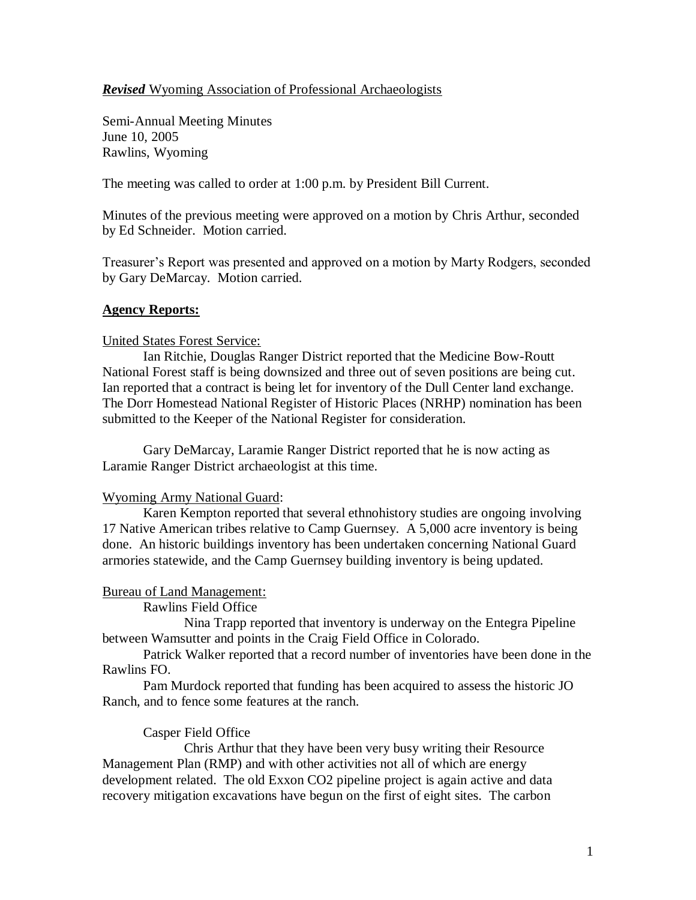# *Revised* Wyoming Association of Professional Archaeologists

Semi-Annual Meeting Minutes June 10, 2005 Rawlins, Wyoming

The meeting was called to order at 1:00 p.m. by President Bill Current.

Minutes of the previous meeting were approved on a motion by Chris Arthur, seconded by Ed Schneider. Motion carried.

Treasurer's Report was presented and approved on a motion by Marty Rodgers, seconded by Gary DeMarcay. Motion carried.

# **Agency Reports:**

### United States Forest Service:

Ian Ritchie, Douglas Ranger District reported that the Medicine Bow-Routt National Forest staff is being downsized and three out of seven positions are being cut. Ian reported that a contract is being let for inventory of the Dull Center land exchange. The Dorr Homestead National Register of Historic Places (NRHP) nomination has been submitted to the Keeper of the National Register for consideration.

Gary DeMarcay, Laramie Ranger District reported that he is now acting as Laramie Ranger District archaeologist at this time.

### Wyoming Army National Guard:

Karen Kempton reported that several ethnohistory studies are ongoing involving 17 Native American tribes relative to Camp Guernsey. A 5,000 acre inventory is being done. An historic buildings inventory has been undertaken concerning National Guard armories statewide, and the Camp Guernsey building inventory is being updated.

### Bureau of Land Management:

Rawlins Field Office

Nina Trapp reported that inventory is underway on the Entegra Pipeline between Wamsutter and points in the Craig Field Office in Colorado.

Patrick Walker reported that a record number of inventories have been done in the Rawlins FO.

Pam Murdock reported that funding has been acquired to assess the historic JO Ranch, and to fence some features at the ranch.

### Casper Field Office

Chris Arthur that they have been very busy writing their Resource Management Plan (RMP) and with other activities not all of which are energy development related. The old Exxon CO2 pipeline project is again active and data recovery mitigation excavations have begun on the first of eight sites. The carbon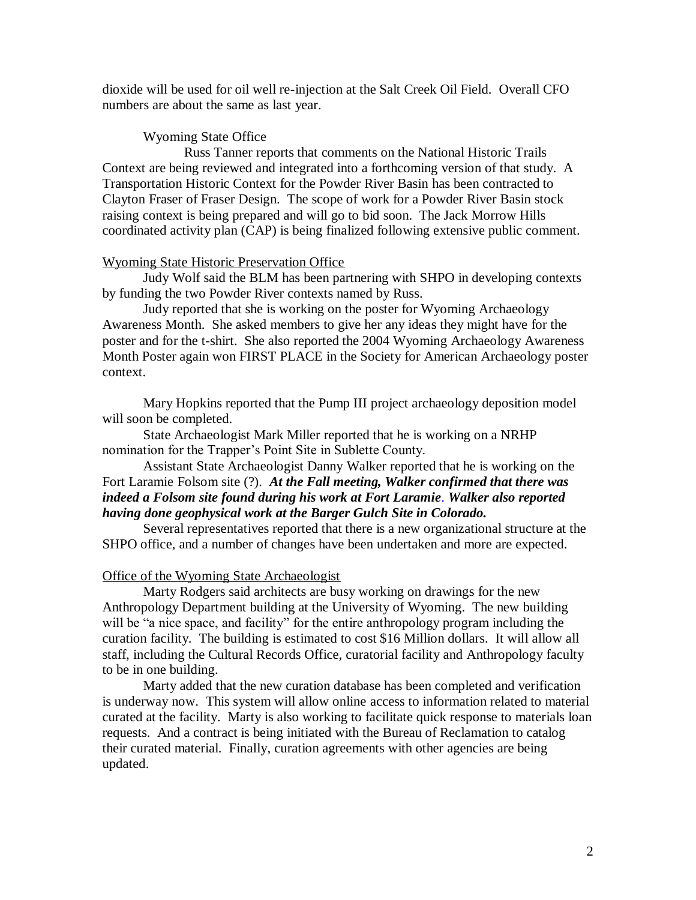dioxide will be used for oil well re-injection at the Salt Creek Oil Field. Overall CFO numbers are about the same as last year.

#### Wyoming State Office

Russ Tanner reports that comments on the National Historic Trails Context are being reviewed and integrated into a forthcoming version of that study. A Transportation Historic Context for the Powder River Basin has been contracted to Clayton Fraser of Fraser Design. The scope of work for a Powder River Basin stock raising context is being prepared and will go to bid soon. The Jack Morrow Hills coordinated activity plan (CAP) is being finalized following extensive public comment.

## Wyoming State Historic Preservation Office

Judy Wolf said the BLM has been partnering with SHPO in developing contexts by funding the two Powder River contexts named by Russ.

Judy reported that she is working on the poster for Wyoming Archaeology Awareness Month. She asked members to give her any ideas they might have for the poster and for the t-shirt. She also reported the 2004 Wyoming Archaeology Awareness Month Poster again won FIRST PLACE in the Society for American Archaeology poster context.

Mary Hopkins reported that the Pump III project archaeology deposition model will soon be completed.

State Archaeologist Mark Miller reported that he is working on a NRHP nomination for the Trapper's Point Site in Sublette County.

# Assistant State Archaeologist Danny Walker reported that he is working on the Fort Laramie Folsom site (?). *At the Fall meeting, Walker confirmed that there was indeed a Folsom site found during his work at Fort Laramie*. *Walker also reported having done geophysical work at the Barger Gulch Site in Colorado.*

Several representatives reported that there is a new organizational structure at the SHPO office, and a number of changes have been undertaken and more are expected.

### Office of the Wyoming State Archaeologist

Marty Rodgers said architects are busy working on drawings for the new Anthropology Department building at the University of Wyoming. The new building will be "a nice space, and facility" for the entire anthropology program including the curation facility. The building is estimated to cost \$16 Million dollars. It will allow all staff, including the Cultural Records Office, curatorial facility and Anthropology faculty to be in one building.

Marty added that the new curation database has been completed and verification is underway now. This system will allow online access to information related to material curated at the facility. Marty is also working to facilitate quick response to materials loan requests. And a contract is being initiated with the Bureau of Reclamation to catalog their curated material. Finally, curation agreements with other agencies are being updated.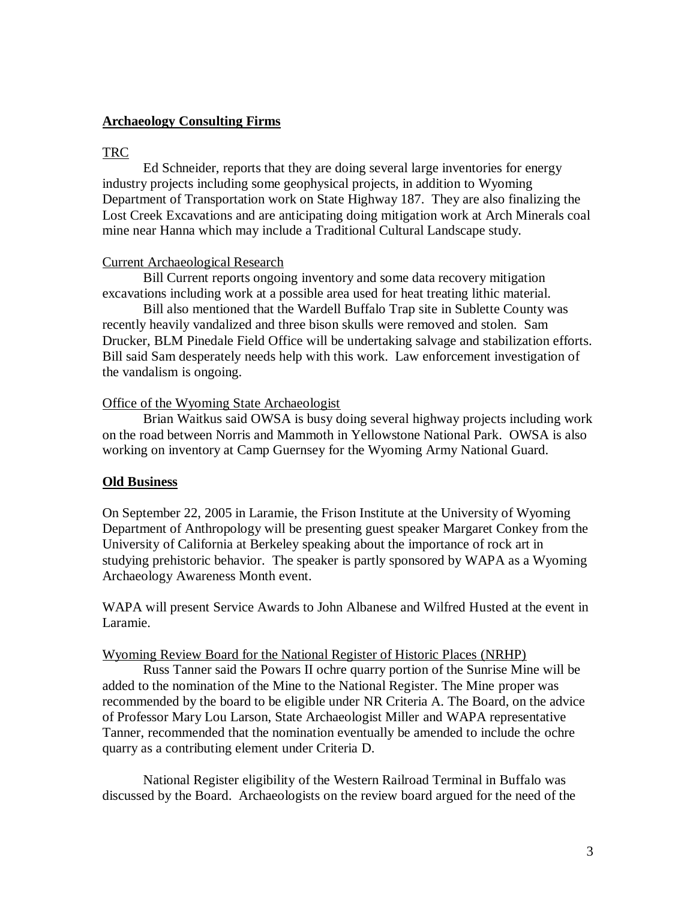## **Archaeology Consulting Firms**

### TRC

Ed Schneider, reports that they are doing several large inventories for energy industry projects including some geophysical projects, in addition to Wyoming Department of Transportation work on State Highway 187. They are also finalizing the Lost Creek Excavations and are anticipating doing mitigation work at Arch Minerals coal mine near Hanna which may include a Traditional Cultural Landscape study.

### Current Archaeological Research

Bill Current reports ongoing inventory and some data recovery mitigation excavations including work at a possible area used for heat treating lithic material.

Bill also mentioned that the Wardell Buffalo Trap site in Sublette County was recently heavily vandalized and three bison skulls were removed and stolen. Sam Drucker, BLM Pinedale Field Office will be undertaking salvage and stabilization efforts. Bill said Sam desperately needs help with this work. Law enforcement investigation of the vandalism is ongoing.

### Office of the Wyoming State Archaeologist

Brian Waitkus said OWSA is busy doing several highway projects including work on the road between Norris and Mammoth in Yellowstone National Park. OWSA is also working on inventory at Camp Guernsey for the Wyoming Army National Guard.

### **Old Business**

On September 22, 2005 in Laramie, the Frison Institute at the University of Wyoming Department of Anthropology will be presenting guest speaker Margaret Conkey from the University of California at Berkeley speaking about the importance of rock art in studying prehistoric behavior. The speaker is partly sponsored by WAPA as a Wyoming Archaeology Awareness Month event.

WAPA will present Service Awards to John Albanese and Wilfred Husted at the event in Laramie.

#### Wyoming Review Board for the National Register of Historic Places (NRHP)

Russ Tanner said the Powars II ochre quarry portion of the Sunrise Mine will be added to the nomination of the Mine to the National Register. The Mine proper was recommended by the board to be eligible under NR Criteria A. The Board, on the advice of Professor Mary Lou Larson, State Archaeologist Miller and WAPA representative Tanner, recommended that the nomination eventually be amended to include the ochre quarry as a contributing element under Criteria D.

National Register eligibility of the Western Railroad Terminal in Buffalo was discussed by the Board. Archaeologists on the review board argued for the need of the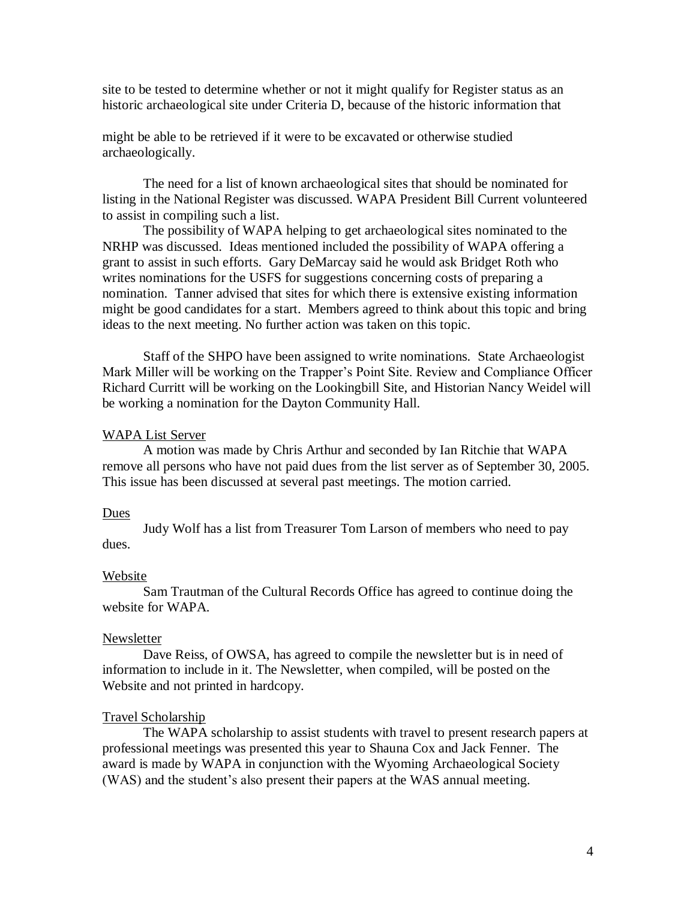site to be tested to determine whether or not it might qualify for Register status as an historic archaeological site under Criteria D, because of the historic information that

might be able to be retrieved if it were to be excavated or otherwise studied archaeologically.

The need for a list of known archaeological sites that should be nominated for listing in the National Register was discussed. WAPA President Bill Current volunteered to assist in compiling such a list.

The possibility of WAPA helping to get archaeological sites nominated to the NRHP was discussed. Ideas mentioned included the possibility of WAPA offering a grant to assist in such efforts. Gary DeMarcay said he would ask Bridget Roth who writes nominations for the USFS for suggestions concerning costs of preparing a nomination. Tanner advised that sites for which there is extensive existing information might be good candidates for a start. Members agreed to think about this topic and bring ideas to the next meeting. No further action was taken on this topic.

Staff of the SHPO have been assigned to write nominations. State Archaeologist Mark Miller will be working on the Trapper's Point Site. Review and Compliance Officer Richard Curritt will be working on the Lookingbill Site, and Historian Nancy Weidel will be working a nomination for the Dayton Community Hall.

#### WAPA List Server

A motion was made by Chris Arthur and seconded by Ian Ritchie that WAPA remove all persons who have not paid dues from the list server as of September 30, 2005. This issue has been discussed at several past meetings. The motion carried.

#### Dues

Judy Wolf has a list from Treasurer Tom Larson of members who need to pay dues.

#### Website

Sam Trautman of the Cultural Records Office has agreed to continue doing the website for WAPA.

#### Newsletter

Dave Reiss, of OWSA, has agreed to compile the newsletter but is in need of information to include in it. The Newsletter, when compiled, will be posted on the Website and not printed in hardcopy.

#### Travel Scholarship

The WAPA scholarship to assist students with travel to present research papers at professional meetings was presented this year to Shauna Cox and Jack Fenner. The award is made by WAPA in conjunction with the Wyoming Archaeological Society (WAS) and the student's also present their papers at the WAS annual meeting.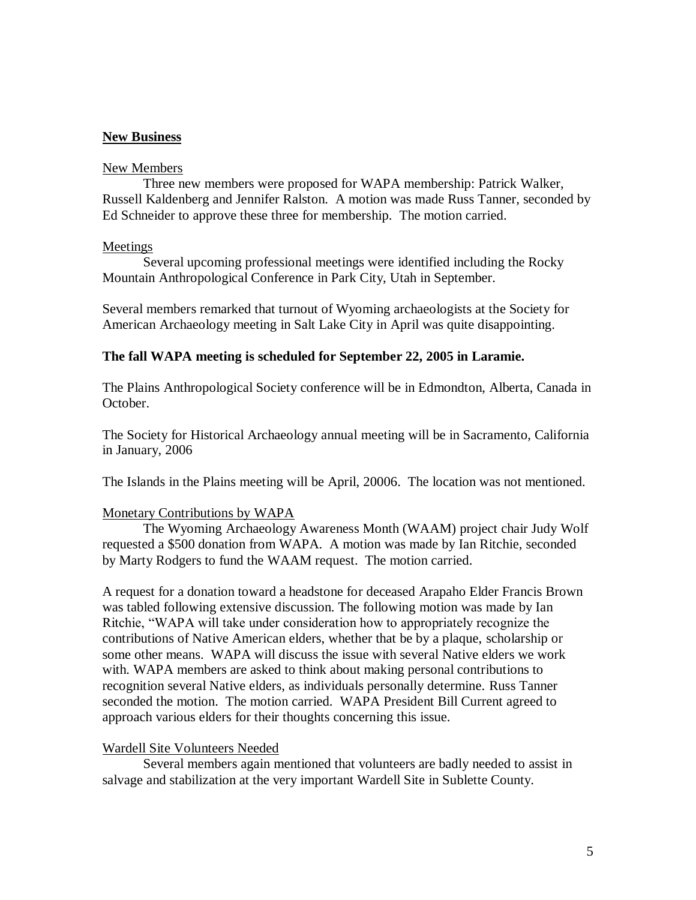# **New Business**

### New Members

Three new members were proposed for WAPA membership: Patrick Walker, Russell Kaldenberg and Jennifer Ralston. A motion was made Russ Tanner, seconded by Ed Schneider to approve these three for membership. The motion carried.

### Meetings

Several upcoming professional meetings were identified including the Rocky Mountain Anthropological Conference in Park City, Utah in September.

Several members remarked that turnout of Wyoming archaeologists at the Society for American Archaeology meeting in Salt Lake City in April was quite disappointing.

## **The fall WAPA meeting is scheduled for September 22, 2005 in Laramie.**

The Plains Anthropological Society conference will be in Edmondton, Alberta, Canada in October.

The Society for Historical Archaeology annual meeting will be in Sacramento, California in January, 2006

The Islands in the Plains meeting will be April, 20006. The location was not mentioned.

### Monetary Contributions by WAPA

The Wyoming Archaeology Awareness Month (WAAM) project chair Judy Wolf requested a \$500 donation from WAPA. A motion was made by Ian Ritchie, seconded by Marty Rodgers to fund the WAAM request. The motion carried.

A request for a donation toward a headstone for deceased Arapaho Elder Francis Brown was tabled following extensive discussion. The following motion was made by Ian Ritchie, "WAPA will take under consideration how to appropriately recognize the contributions of Native American elders, whether that be by a plaque, scholarship or some other means. WAPA will discuss the issue with several Native elders we work with. WAPA members are asked to think about making personal contributions to recognition several Native elders, as individuals personally determine. Russ Tanner seconded the motion. The motion carried. WAPA President Bill Current agreed to approach various elders for their thoughts concerning this issue.

#### Wardell Site Volunteers Needed

Several members again mentioned that volunteers are badly needed to assist in salvage and stabilization at the very important Wardell Site in Sublette County.